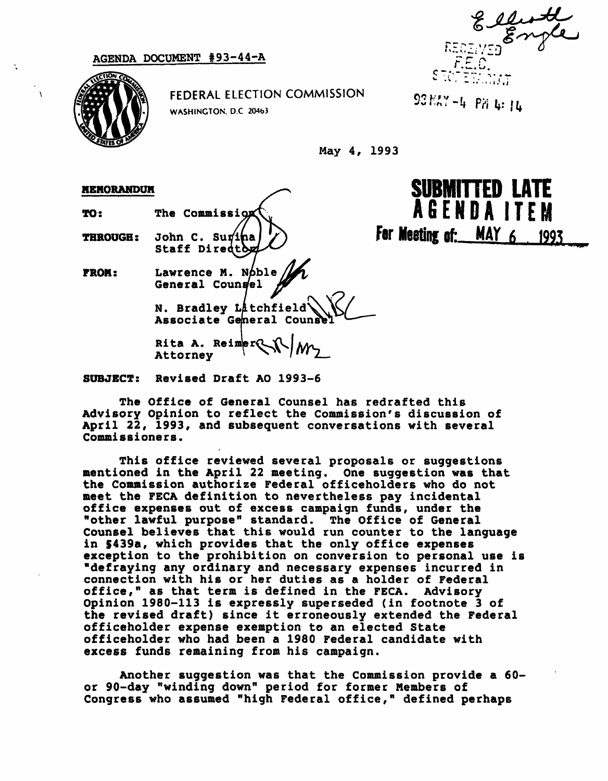AGENDA DOCUMENT #93-44-A

 $F.E.C.$  $\mathcal{S}(\mathcal{A})$  . In  $\mathcal{S}(\mathcal{A})$  is  $\mathcal{I}(\mathcal{A})$ 



FEDERAL ELECTION COMMISSION WASHINGTON. D.C 204b3

 $93 E5 - 4 F6$  i.

SUBMITTED LATE

AGENDA ITEM

For Meeting of:  $MAY$  6, 1993

May 4, 1993

## MEMORANDUM

TO:

THROUGH:

FROM:

Lawrence M. Noble General Coungel

The Commission

John C. Su Staff Directo

N. Bradley Låtchfield\ Associate General Coun

Rita A. Reimer $\mathbb{C}$ Attorney

SUBJECT: Revised Draft AO 1993-6

The Office of General Counsel has redrafted this Advisory Opinion to reflect the Commission's discussion of April 22, 1993, and subsequent conversations with several Commissioners.

This office reviewed several proposals or suggestions mentioned in the April 22 meeting. One suggestion was that the Commission authorize Federal officeholders who do not meet the FECA definition to nevertheless pay incidental office expenses out of excess campaign funds, under the "other lawful purpose" standard. The Office of General Counsel believes that this would run counter to the language in S439a, which provides that the only office expenses exception to the prohibition on conversion to personal use is "defraying any ordinary and necessary expenses incurred in connection with his or her duties as a holder of Federal office," as that term is defined in the FECA. Advisory Opinion 1980-113 is expressly superseded (in footnote 3 of the revised draft) since it erroneously extended the Federal officeholder expense exemption to an elected State officeholder who had been a 1980 Federal candidate with excess funds remaining from his campaign.

Another suggestion was that the Commission provide a 60 or 90-day "winding down" period for former Members of Congress who assumed "high Federal office," defined perhaps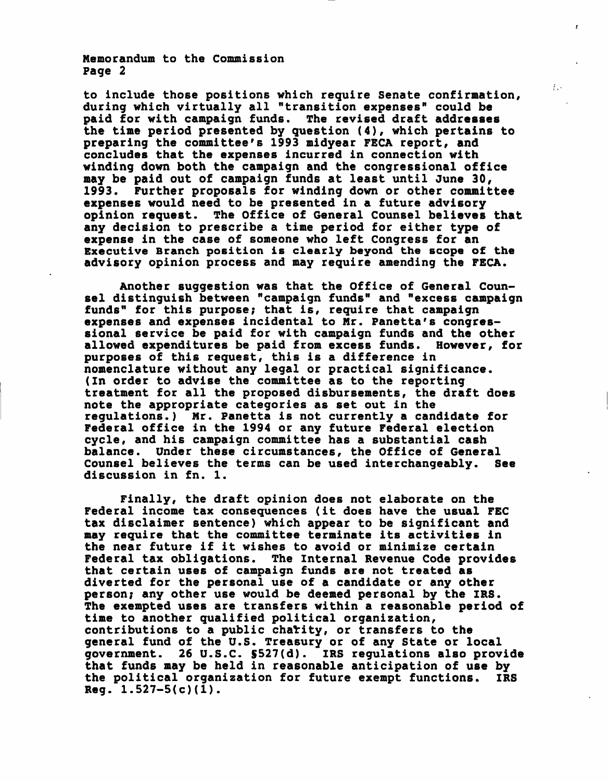Memorandum to the Commission Page 2

to include those positions which require Senate confirmation, during which virtually all "transition expenses" could be paid for with campaign funds. The revised draft addresses the time period presented by question (4), which pertains to preparing the committee's 1993 midyear FECA report, and concludes that the expenses incurred in connection with winding down both the campaign and the congressional office may be paid out of campaign funds at least until June 30, 1993. Further proposals for winding down or other committee expenses would need to be presented in a future advisory opinion request. The Office of General Counsel believes that any decision to prescribe a time period for either type of expense in the case of someone who left Congress for an Executive Branch position is clearly beyond the scope of the advisory opinion process and may require amending the FECA.

Ţγ.

Another suggestion was that the Office of General Counsel distinguish between "campaign funds" and "excess campaign funds" for this purpose; that is, require that campaign expenses and expenses incidental to Mr. Panetta's congressional service be paid for with campaign funds and the other<br>allowed expenditures be paid from excess funds. However, for allowed expenditures be paid from excess funds. purposes of this request, this is a difference in nomenclature without any legal or practical significance. (In order to advise the committee as to the reporting treatment for all the proposed disbursements, the draft does note the appropriate categories as set out in the regulations.) Mr. Panetta is not currently a candidate for Federal office in the 1994 or any future Federal election cycle, and his campaign committee has a substantial cash balance. Under these circumstances, the Office of General Counsel believes the terms can be used interchangeably. See discussion in fn. 1.

Finally, the draft opinion does not elaborate on the Federal income tax consequences (it does have the usual FEC tax disclaimer sentence) which appear to be significant and may require that the committee terminate its activities in the near future if it wishes to avoid or minimize certain Federal tax obligations. The Internal Revenue Code provides that certain uses of campaign funds are not treated as diverted for the personal use of a candidate or any other person; any other use would be deemed personal by the IRS. The exempted uses are transfers within a reasonable period of time to another qualified political organization, contributions to a public charity, or transfers to the general fund of the U.S. Treasury or of any State or local government. 26 U.S.C. 5527(d). IRS regulations also provide that funds may be held in reasonable anticipation of use by the political organization for future exempt functions. IRS  $Reg. 1.527-5(c)(1)$ .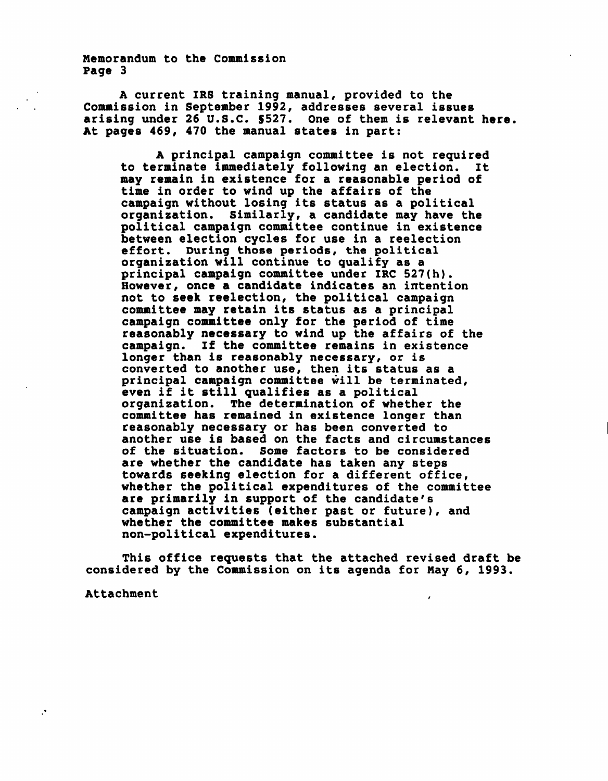Memorandum to the Commission Page 3

A current IRS training manual, provided to the Commission in September 1992, addresses several issues arising under 26 U.S.C. \$527. One of them is relevant here. At pages 469, 470 the manual states in part:

A principal campaign committee is not required to terminate immediately following an election. It may remain in existence for a reasonable period of time in order to wind up the affairs of the campaign without losing its status as a political organization. Similarly, a candidate may have the political campaign committee continue in existence between election cycles for use in a reelection effort. During those periods, the political organization will continue to qualify as a principal campaign committee under IRC 527(h). However, once a candidate indicates an intention not to seek reelection, the political campaign committee may retain its status as a principal campaign committee only for the period of time reasonably necessary to wind up the affairs of the campaign. If the committee remains in existence longer than is reasonably necessary, or is converted to another use, then its status as a principal campaign committee will be terminated, even if it still qualifies as a political organization. The determination of whether the committee has remained in existence longer than reasonably necessary or has been converted to another use is based on the facts and circumstances of the situation. Some factors to be considered are whether the candidate has taken any steps towards seeking election for a different office, whether the political expenditures of the committee are primarily in support of the candidate's campaign activities (either past or future), and whether the committee makes substantial non-political expenditures.

This office requests that the attached revised draft be considered by the Commission on its agenda for Nay 6, 1993.

Attachment

 $\cdot$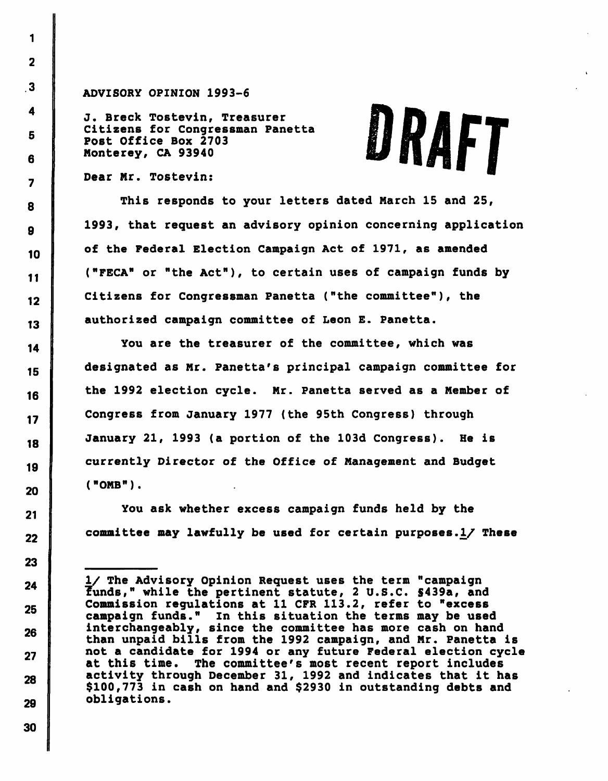## ADVISORY OPINION 1993-6

J. Breck Tostevin, Treasurer Citizens for Congressman Panetta Post Office Box 2703 Monterey, CA 93940

## DRAFT

Dear Mr. Tostevin:

 $\blacksquare$ 

 $\overline{2}$ 

 $\overline{\mathbf{3}}$ 

 $\blacktriangleleft$ 

5

6

 $\overline{\mathbf{z}}$ 

8

9

10

 $11$ 

 $12$ 

13

 $14$ 

15

16

 $17$ 

18

19

20

 $21$ 

22

23

24

25

26

 $27$ 

28

29

30

This responds to your letters dated March 15 and 25, 1993, that request an advisory opinion concerning application of the Federal Election Campaign Act of 1971, as amended ("FECA" or "the Act"), to certain uses of campaign funds by Citizens for Congressman Panetta ("the committee"), the authorized campaign committee of Leon E. Panetta.

You are the treasurer of the committee, which was designated as Mr. Panetta's principal campaign committee for the 1992 election cycle. Mr. Panetta served as a Member of Congress from January 1977 (the 95th Congress) through January 21, 1993 (a portion of the 103d Congress). He is currently Director of the Office of Management and Budget ("OMB").

You ask whether excess campaign funds held by the committee may lawfully be used for certain purposes.  $1/$  These

I/ The Advisory Opinion Request uses the term "campaign funds," while the pertinent statute, 2 U.S.C. S439a, and Commission regulations at 11 CFR 113.2, refer to "excess campaign funds." In this situation the terms may be used interchangeably, since the committee has more cash on hand than unpaid bills from the 1992 campaign, and Mr. Panetta is not a candidate for 1994 or any future Federal election cycle at this time. The committee's most recent report includes activity through December 31, 1992 and indicates that it has \$100,773 in cash on hand and \$2930 in outstanding debts and obligations.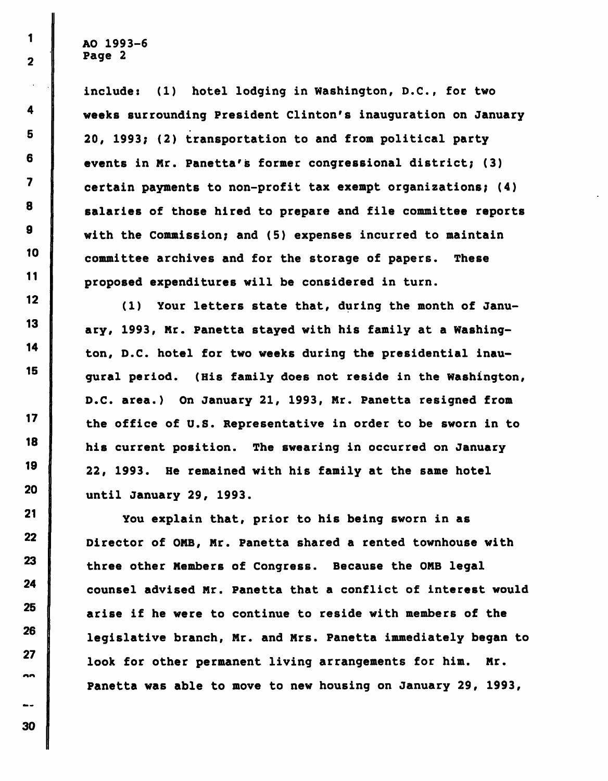1

 $\overline{\mathbf{2}}$ 

 $\ddot{4}$ 

5

6

 $\overline{\mathbf{z}}$ 

8

9

10

 $11$ 

 $12$ 

13

14

15

 $17$ 

18

19

20

21

22

23

24

25

26

27

nn

÷-

include: (1) hotel lodging in Washington, D.C., for two weeks surrounding President Clinton's inauguration on January 20, 1993; (2) transportation to and from political party events in Mr. Panetta's former congressional district; (3) certain payments to non-profit tax exempt organizations; (4) salaries of those hired to prepare and file committee reports with the Commission; and (5) expenses incurred to maintain committee archives and for the storage of papers. These proposed expenditures will be considered in turn.

(1) Your letters state that, during the month of January, 1993, Mr. Panetta stayed with his family at a Washington, D.C. hotel for two weeks during the presidential inaugural period. (His family does not reside in the Washington, D.C. area.) On January 21, 1993, Mr. Panetta resigned from the office of U.S. Representative in order to be sworn in to his current position. The swearing in occurred on January 22, 1993. He remained with his family at the same hotel until January 29, 1993.

You explain that, prior to his being sworn in as Director of OMB, Mr. Panetta shared a rented townhouse with three other Members of Congress. Because the OMB legal counsel advised Mr. Panetta that a conflict of interest would arise if he were to continue to reside with members of the legislative branch, Mr. and Mrs. Panetta immediately began to look for other permanent living arrangements for him. Mr. Panetta was able to move to new housing on January 29, 1993,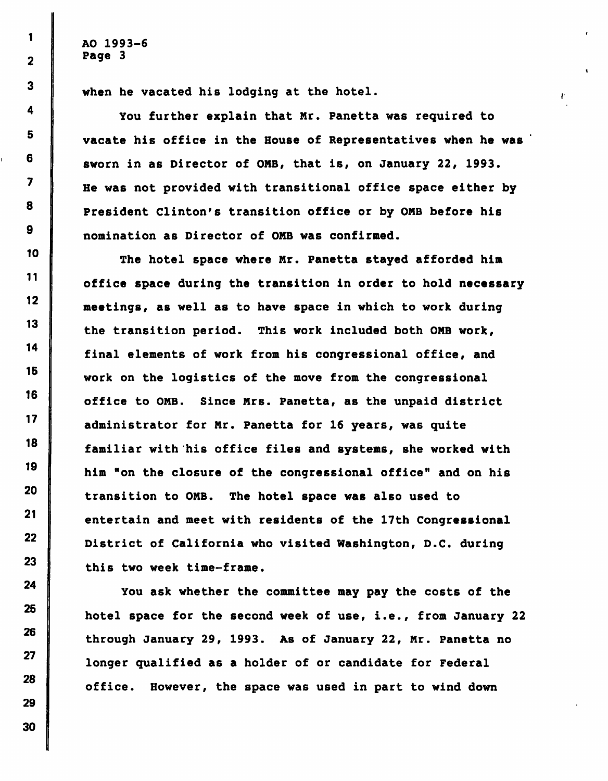when he vacated his lodging at the hotel.

You further explain that Mr. Panetta was required to vacate his office in the House of Representatives when he was sworn in as Director of OMB, that is, on January 22, 1993. He was not provided with transitional office space either by President Clinton's transition office or by ONB before his nomination as Director of ONB was confirmed.

P.

The hotel space where Mr. Panetta stayed afforded him office space during the transition in order to hold necessary meetings, as well as to have space in which to work during the transition period. This work included both ONB work, final elements of work from his congressional office, and work on the logistics of the move from the congressional office to ONB. Since Mrs. Panetta, as the unpaid district administrator for Nr. Panetta for 16 years, was quite familiar with his office files and systems, she worked with him "on the closure of the congressional office" and on his transition to ONB. The hotel space was also used to entertain and meet with residents of the 17th Congressional District of California who visited Washington, D.C. during this two week time-frame.

You ask whether the committee may pay the costs of the hotel space for the second week of use, i.e., from January 22 through January 29, 1993. As of January 22, Nr. Panetta no longer qualified as a holder of or candidate for Federal office. However, the space was used in part to wind down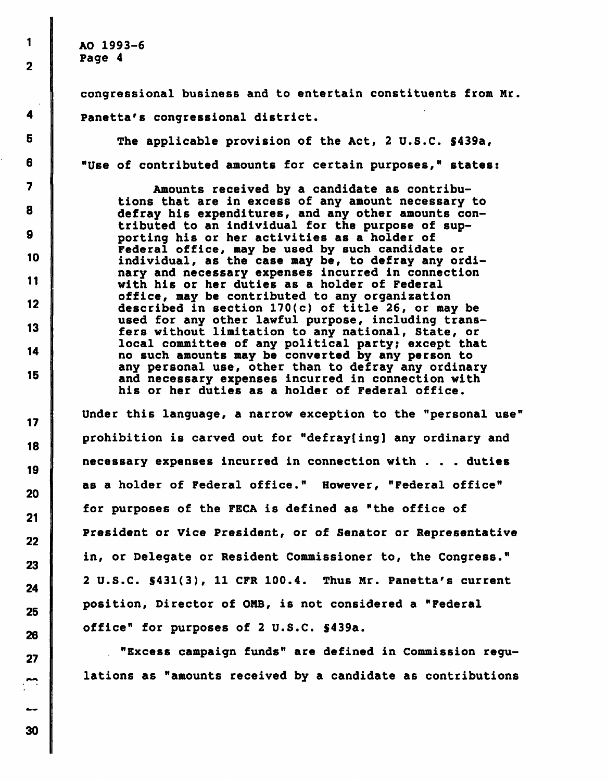1

 $\overline{2}$ 

4

5

6

 $\overline{\mathbf{z}}$ 

8

9

10

 $11$ 

 $12<sub>2</sub>$ 

13

14

15

 $17$ 

18

19

20

 $21$ 

22

23

24

25

26

27

congressional business and to entertain constituents from Mr. Panetta's congressional district.

The applicable provision of the Act, 2 U.S.C. 5439a, "Use of contributed amounts for certain purposes," states:

Amounts received by a candidate as contributions that are in excess of any amount necessary to defray his expenditures, and any other amounts contributed to an individual for the purpose of supporting his or her activities as a holder of Federal office, may be used by such candidate or individual, as the case may be, to defray any ordinary and necessary expenses incurred in connection with his or her duties as a holder of Federal office, may be contributed to any organization described in section 170(c) of title 26, or may be used for any other lawful purpose, including transfers without limitation to any national, State, or local committee of any political party; except that no such amounts may be converted by any person to any personal use, other than to defray any ordinary and necessary expenses incurred in connection with his or her duties as a holder of Federal office.

Under this language, a narrow exception to the "personal use" prohibition is carved out for "defray[ing] any ordinary and necessary expenses incurred in connection with . . . duties as a holder of Federal office." However, "Federal office" for purposes of the FECA is defined as "the office of President or Vice President, or of Senator or Representative in, or Delegate or Resident Commissioner to, the Congress." 2 U.S.C. \$431(3), 11 CFR 100.4. Thus Mr. Panetta's current position, Director of ONB, is not considered a "Federal office" for purposes of 2 U.S.C. S439a.

. "Excess campaign funds" are defined in Commission regulations as "amounts received by a candidate as contributions

30

 $\overline{a}$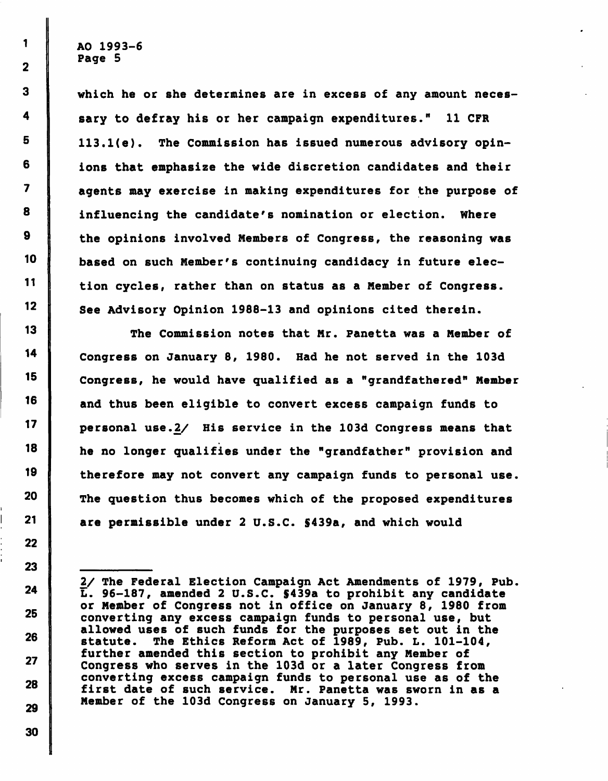which he or she determines are in excess of any amount necessary to defray his or her campaign expenditures." 11 CFR 113.l(e). The Commission has issued numerous advisory opinions that emphasize the wide discretion candidates and their agents may exercise in making expenditures for the purpose of influencing the candidate's nomination or election. Where the opinions involved Members of Congress, the reasoning was based on such Member's continuing candidacy in future election cycles, rather than on status as a Member of Congress. See Advisory Opinion 1988-13 and opinions cited therein.

The Commission notes that Mr. Fanetta was a Member of Congress on January 8, 1980. Had he not served in the 103d Congress, he would have qualified as a "grandfathered" Member and thus been eligible to convert excess campaign funds to personal use.2/ His service in the 103d Congress means that he no longer qualifies under the "grandfather" provision and therefore may not convert any campaign funds to personal use. The question thus becomes which of the proposed expenditures are permissible under 2 U.S.C. \$439a, and which would

30

 $\mathbf{1}$ 

<sup>2/</sup> The Federal Election Campaign Act Amendments of 1979, Pub L. 96-187, amended 2 U.S.C. S439a to prohibit any candidate or Member of Congress not in office on January 8, 1980 from converting any excess campaign funds to personal use, but allowed uses of such funds for the purposes set out in the statute. The Ethics Reform Act of 1989, Pub. L. 101-104, further amended this section to prohibit any Member of Congress who serves in the 103d or a later Congress from converting excess campaign funds to personal use as of the first date of such service. Mr. Panetta was sworn in as a Member of the 103d Congress on January 5, 1993.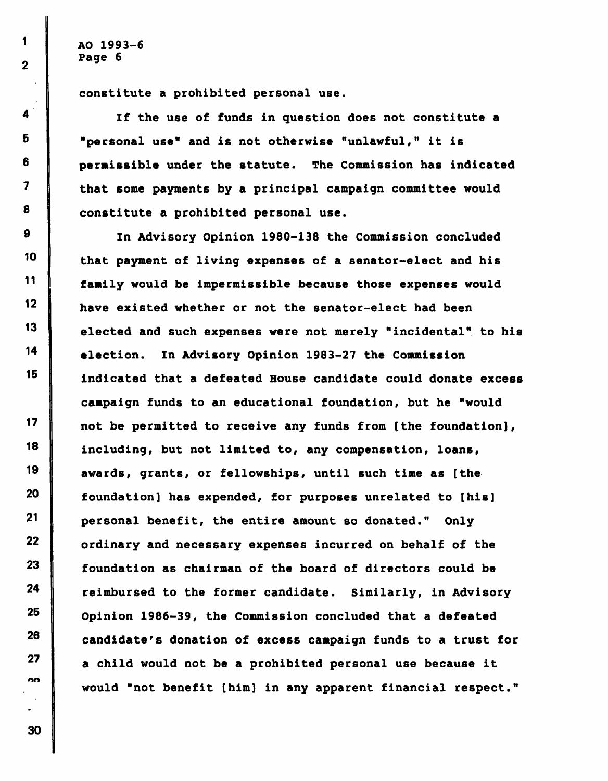$1 \parallel$  AO 1993-6  $2$  Page 6

I

4

constitute a prohibited personal use.

If the use of funds in question does not constitute a 5 "personal use" and is not otherwise "unlawful," it is  $6$  permissible under the statute. The Commission has indicated 7 that some payments by a principal campaign committee would  $8$  constitute a prohibited personal use.

9 In Advisory Opinion 1980-138 the Commission concluded  $10$  that payment of living expenses of a senator-elect and his  $\begin{array}{c} 11 \end{array}$  family would be impermissible because those expenses would 12 have existed whether or not the senator-elect had been  $13$  elected and such expenses were not merely "incidental" to his 14 election. In Advisory Opinion 1983-27 the Commission  $15$  indicated that a defeated House candidate could donate excess campaign funds to an educational foundation, but he "would 17 | not be permitted to receive any funds from [the foundation], 18 including, but not limited to, any compensation, loans,  $19$  awards, grants, or fellowships, until such time as [the  $20$   $\parallel$  foundation] has expended, for purposes unrelated to [his] 21 personal benefit, the entire amount so donated." Only  $22$  ordinary and necessary expenses incurred on behalf of the  $23$   $\parallel$  foundation as chairman of the board of directors could be  $24$  reimbursed to the former candidate. Similarly, in Advisory Opinion 1986-39, the Commission concluded that a defeated candidate's donation of excess campaign funds to a trust for  $27$  | a child would not be a prohibited personal use because it would "not benefit [him] in any apparent financial respect."

30

25

26

nn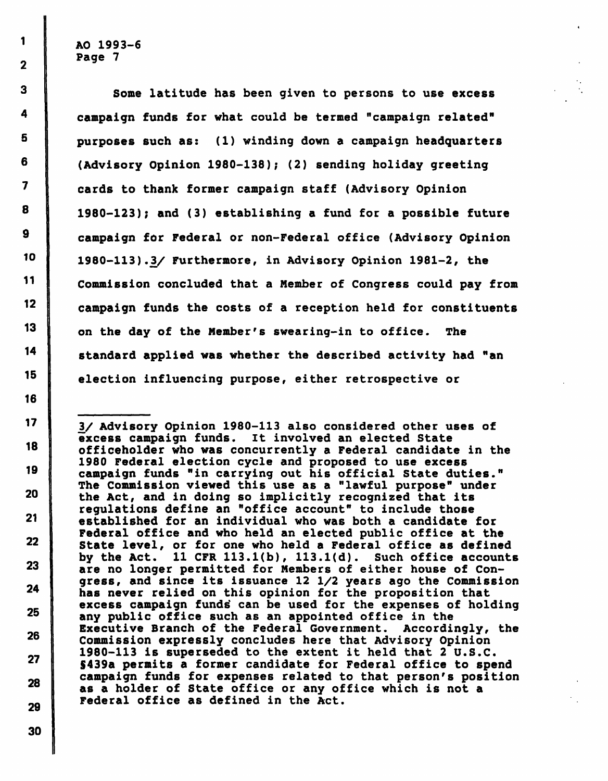$1 \parallel$  AO 1993-6  $2$  Page 7

3 Some latitude has been given to persons to use excess <sup>4</sup> campaign funds for what could be termed "campaign related"  $5$  purposes such as: (1) winding down a campaign headquarters  $6$  (Advisory Opinion 1980-138); (2) sending holiday greeting 7 | cards to thank former campaign staff (Advisory Opinion  $8$  | 1980-123); and (3) establishing a fund for a possible future 9 campaign for Federal or non-Federal office (Advisory Opinion 10 1980-113).3/ Furthermore, in Advisory Opinion 1981-2, the 11 Commission concluded that a Member of Congress could pay from 12 **campaign funds the costs of a reception held for constituents** 13 on the day of the Member's swearing-in to office. The  $14$  standard applied was whether the described activity had "an 15 election influencing purpose, either retrospective or

17 3/ Advisory Opinion 1980-113 also considered other uses of excess campaign funds. It involved an elected State<br>officeholder who was concurrently a Federal candidate in the<br>1980 Federal election cycle and proposed to use excess 19 campaign funds "in carrying out his official State duties." The Commission viewed this use as a "lawful purpose" under<br>20 I the Act, and in doing so implicitly recognized that its regulations define an "office account" to include those 21 established for an individual who was both a candidate for<br>Federal office and who held an elected public office at the 22 State level, or for one who held a Federal office as defined by the Act. 11 CFR 113.1(b), 113.1(d). Such office accounts<br>23 are no longer permitted for Members of either house of Congress, and since its issuance 12 1/2 years ago the Commission<br>24 has never relied on this opinion for the proposition that excess campaign funds can be used for the expenses of holding  $25$  any public office such as an appointed office in the Executive Branch of the Federal Government. Accordingly, the 26 Commission expressly concludes here that Advisory Opinion 1980-113 is superseded to the extent it held that 2 U.S.C.<br>
8439a permits a former candidate for Federal office to spend 28 campaign funds for expenses related to that person's position<br>28 can below of State of issue or any office which is not a as a holder of State office or any office which is not a Federal office as defined in the Act.

29 30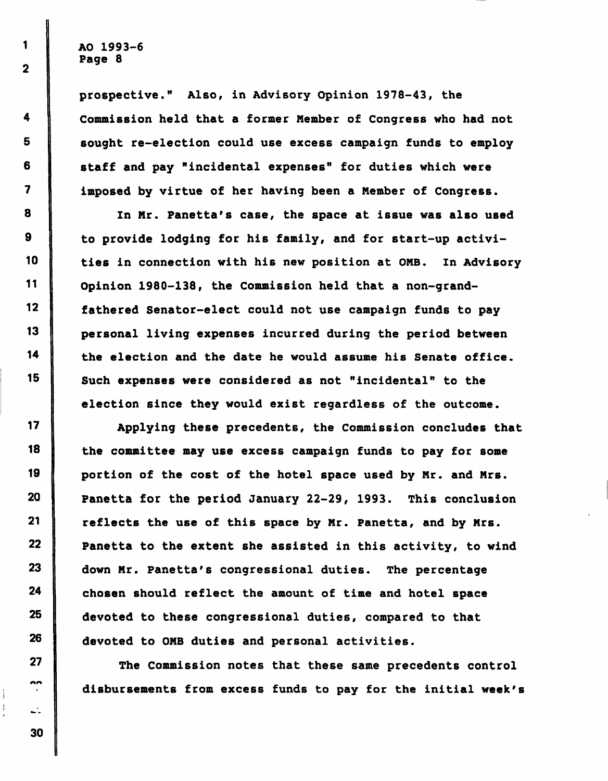1

2

4

5

6

7

8

9

10

11

12

13

14

15

17

18

19

20

21

22

23

24

25

26

27

nn

prospective." Also, in Advisory Opinion 1978-43, the Commission held that a former Member of Congress who had not sought re-election could use excess campaign funds to employ staff and pay "incidental expenses" for duties which were imposed by virtue of her having been a Member of Congress.

In Mr. Panetta's case, the space at issue was also used to provide lodging for his family, and for start-up activities in connection with his new position at OMB. In Advisory Opinion 1980-138, the Commission held that a non-grandfathered Senator-elect could not use campaign funds to pay personal living expenses incurred during the period between the election and the date he would assume his Senate office. Such expenses were considered as not "incidental" to the election since they would exist regardless of the outcome.

Applying these precedents, the Commission concludes that the committee may use excess campaign funds to pay for some portion of the cost of the hotel space used by Mr. and Mrs. Panetta for the period January 22-29, 1993. This conclusion reflects the use of this space by Mr. Panetta, and by Mrs. Panetta to the extent she assisted in this activity, to wind down Mr. Panetta's congressional duties. The percentage chosen should reflect the amount of time and hotel space devoted to these congressional duties, compared to that devoted to OMB duties and personal activities.

The Commission notes that these same precedents control disbursements from excess funds to pay for the initial week's

 $\mathbf{L}$ 30

ł,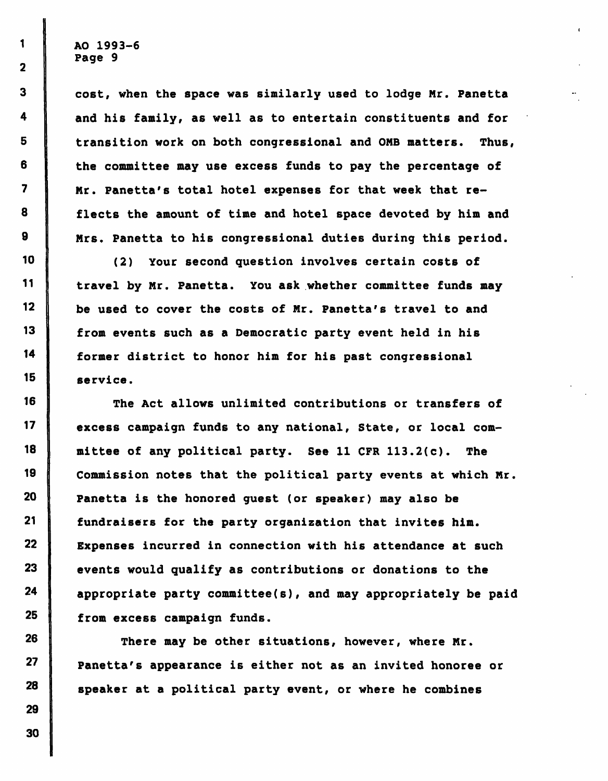3 | cost, when the space was similarly used to lodge Mr. Panetta 4 | and his family, as well as to entertain constituents and for 5 | transition work on both congressional and OMB matters. Thus, 6 I the committee may use excess funds to pay the percentage of 7 Mr. Panetta's total hotel expenses for that week that re-8 flects the amount of time and hotel space devoted by him and 9 | Mrs. Panetta to his congressional duties during this period.

10 (2) Your second question involves certain costs of II travel by Mr. Panetta. You ask whether committee funds may  $12$  be used to cover the costs of Mr. Panetta's travel to and 13 from events such as a Democratic party event held in his 14 former district to honor him for his past congressional 15 service.

16 The Act allows unlimited contributions or transfers of 17 excess campaign funds to any national, State, or local com-18 mittee of any political party. See 11 CFR 113.2(c). The 19 Commission notes that the political party events at which Mr. 20 Panetta is the honored guest (or speaker) may also be 21 fundraisers for the party organization that invites him. 22 Expenses incurred in connection with his attendance at such  $23$  events would qualify as contributions or donations to the 24 appropriate party committee(s), and may appropriately be paid 25 from excess campaign funds.

 $26$  There may be other situations, however, where Mr. 27 **Panetta's appearance is either not as an invited honoree or**  $28$  speaker at a political party event, or where he combines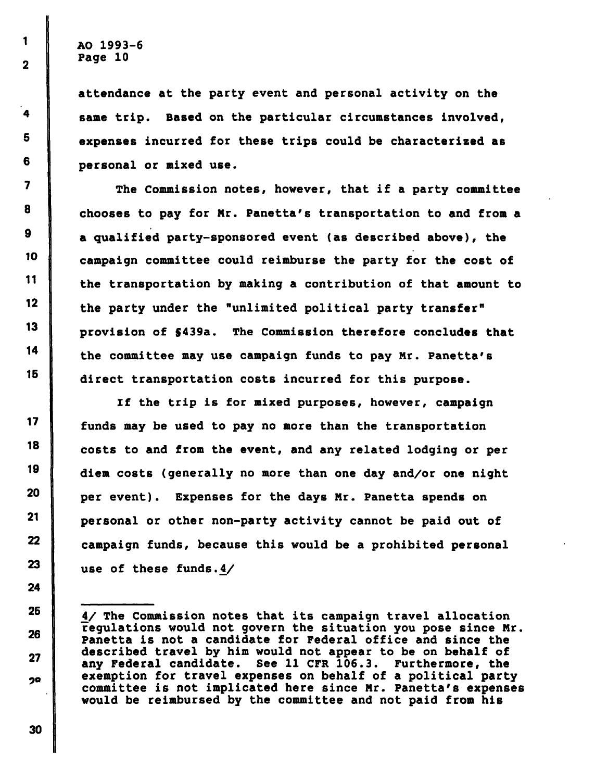$1 \quad \text{ao } 1993 - 6$  $\begin{array}{|c|c|c|}\n\hline\n2 & \multicolumn{1}{|c|}{\text{Page 10}}\n\end{array}$ 

 $\mathbf{I}$ 

4

13

attendance at the party event and personal activity on the same trip. Based on the particular circumstances involved,  $5$  expenses incurred for these trips could be characterized as <sup>6</sup> personal or mixed use.

7 The Commission notes, however, that if a party committee  $8$  chooses to pay for Mr. Panetta's transportation to and from a  $9$  a qualified party-sponsored event (as described above), the <sup>10</sup> campaign committee could reimburse the party for the cost of 11 the transportation by making a contribution of that amount to 12 the party under the "unlimited political party transfer" provision of \$439a. The Commission therefore concludes that 14 the committee may use campaign funds to pay Mr. Panetta's 15 direct transportation costs incurred for this purpose.

If the trip is for mixed purposes, however, campaign  $17$   $\parallel$  funds may be used to pay no more than the transportation 18 costs to and from the event, and any related lodging or per 19 diem costs (generally no more than one day and/or one night <sup>20</sup> per event). Expenses for the days Mr. Panetta spends on <sup>21</sup> personal or other non-party activity cannot be paid out of  $22$  campaign funds, because this would be a prohibited personal 23 use of these funds. $4/$ 

30

1

24

26

 $25$  |  $4/$  The Commission notes that its campaign travel allocation regulations would not govern the situation you pose since Nr. Panetta is not a candidate for Federal office and since the described travel by him would not appear to be on behalf of any Federal candidate. See 11 CFR 106.3. Furthermore, the  $2Q$  exemption for travel expenses on behalf of a political party committee is not implicated here since Nr. Panetta's expenses would be reimbursed by the committee and not paid from his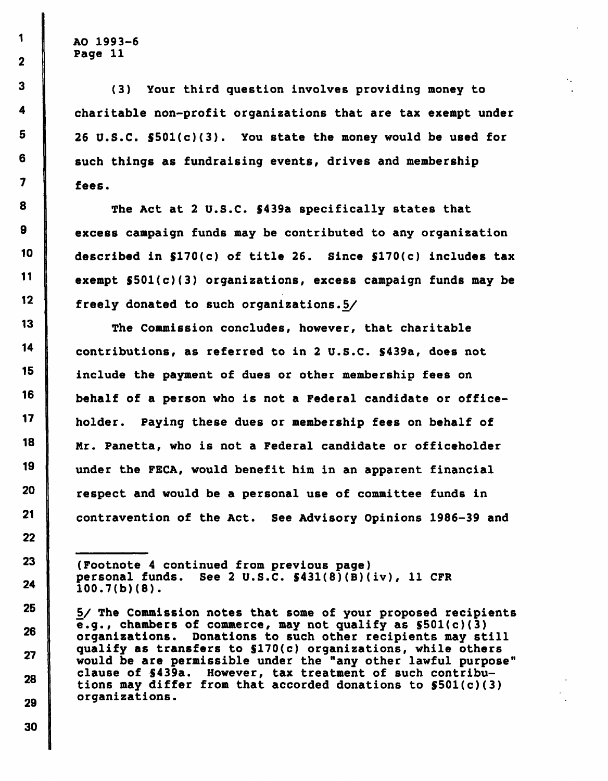$1 \parallel$  AO 1993-6  $2$  Page 11

3 (3) Your third question involves providing money to 4 charitable non-profit organizations that are tax exempt under  $5$  | 26 U.S.C.  $$501(c)(3)$ . You state the money would be used for  $6$  such things as fundraising events, drives and membership fees.

 $8$  The Act at 2 U.S.C. \$439a specifically states that 9 excess campaign funds may be contributed to any organization 10 described in \$170(c) of title 26. Since \$170(c) includes tax 11 exempt  $$501(c)(3)$  organizations, excess campaign funds may be 12 freely donated to such organizations.5/

'3 The Commission concludes, however, that charitable contributions, as referred to in 2 U.S.C. S439a, does not 15 include the payment of dues or other membership fees on behalf of a person who is not a Federal candidate or office- holder. Paying these dues or membership fees on behalf of 18 | Mr. Panetta, who is not a Federal candidate or officeholder under the FECA, would benefit him in an apparent financial respect and would be a personal use of committee funds in **contravention of the Act.** See Advisory Opinions 1986-39 and

23 (Footnote 4 continued from previous page)<br>personal funds. See 2 U.S.C. \$431(8)(B)( **our personal funds.** See 2 U.S.C.  $\frac{1}{24}$  (B)(iv), 11 CFR<br> **24** 100 7(b)(8)  $100.7(b)(8)$ .

<sup>25</sup>  $\frac{5}{10}$   $\frac{5}{10}$  The Commission notes that some of your proposed recipients<br> **25**  $\frac{1}{20}$   $\frac{1}{20}$   $\frac{1}{20}$   $\frac{1}{20}$   $\frac{1}{20}$   $\frac{1}{20}$   $\frac{1}{20}$   $\frac{1}{20}$   $\frac{1}{20}$   $\frac{1}{20}$   $\frac{1}{20}$   $\frac{1}{20$ e.g., chambers of commerce, may not qualify as §501(c)(3) <sup>26</sup> organizations. Donations to such other recipients may still qualify as transfers to \$170(c) organizations, while others would be are permissible under the "any other lawful purpose" clause of \$439a. However, tax treatment of such contributions may differ from that accorded donations to S501(c)(3) organizations.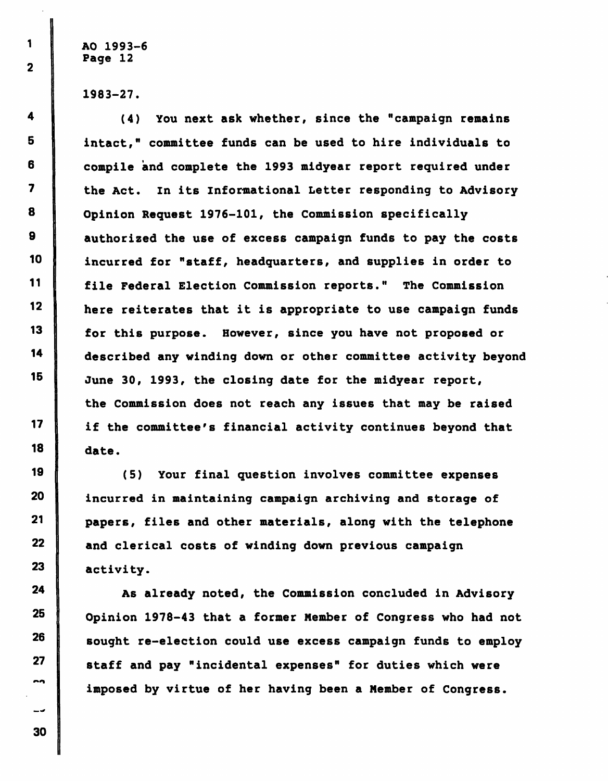$1 \parallel$  AO 1993-6 Page 12

1983-27.

<sup>4</sup> (4) You next ask whether, since the "campaign remains <sup>5</sup> intact," committee funds can be used to hire individuals to  $6$   $\parallel$  compile and complete the 1993 midyear report required under 7 the Act. In its Informational Letter responding to Advisory 8 Opinion Request 1976-101, the Commission specifically  $9$  authorized the use of excess campaign funds to pay the costs 10 incurred for "staff, headquarters, and supplies in order to II file Federal Election Commission reports." The Commission 12 here reiterates that it is appropriate to use campaign funds 13 for this purpose. However, since you have not proposed or described any winding down or other committee activity beyond 15 June 30, 1993, the closing date for the midyear report, the Commission does not reach any issues that may be raised if the committee's financial activity continues beyond that 18 date.

(5) Your final question involves committee expenses 20 incurred in maintaining campaign archiving and storage of 21 papers, files and other materials, along with the telephone 22 and clerical costs of winding down previous campaign 23 activity.

  $\parallel$  As already noted, the Commission concluded in Advisory Opinion 1978-43 that a former Member of Congress who had not sought re-election could use excess campaign funds to employ staff and pay "incidental expenses" for duties which were imposed by virtue of her having been a Member of Congress.

 $17$ 19 »»n  $-1$ 30

 $14$ 

 $\overline{2}$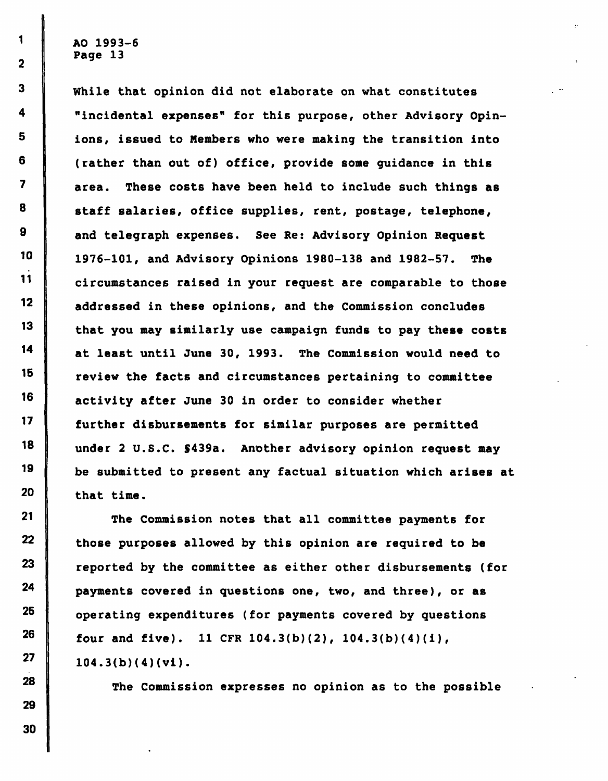While that opinion did not elaborate on what constitutes "incidental expenses" for this purpose, other Advisory Opinions, issued to Members who were making the transition into (rather than out of) office, provide some guidance in this area. These costs have been held to include such things as staff salaries, office supplies, rent, postage, telephone, and telegraph expenses. See Re: Advisory Opinion Request 1976-101, and Advisory Opinions 1980-138 and 1982-57. The circumstances raised in your request are comparable to those addressed in these opinions, and the Commission concludes that you may similarly use campaign funds to pay these costs at least until June 30, 1993. The Commission would need to review the facts and circumstances pertaining to committee activity after June 30 in order to consider whether further disbursements for similar purposes are permitted under 2 U.S.C. \$439a. Another advisory opinion request may be submitted to present any factual situation which arises at that time.

The Commission notes that all committee payments for those purposes allowed by this opinion are required to be reported by the committee as either other disbursements (for payments covered in questions one, two, and three), or as operating expenditures (for payments covered by questions four and five). 11 CFR  $104.3(b)(2)$ ,  $104.3(b)(4)(i)$ , 104.3(b)(4)(vi).

The Commission expresses no opinion as to the possible

1

 $\overline{2}$